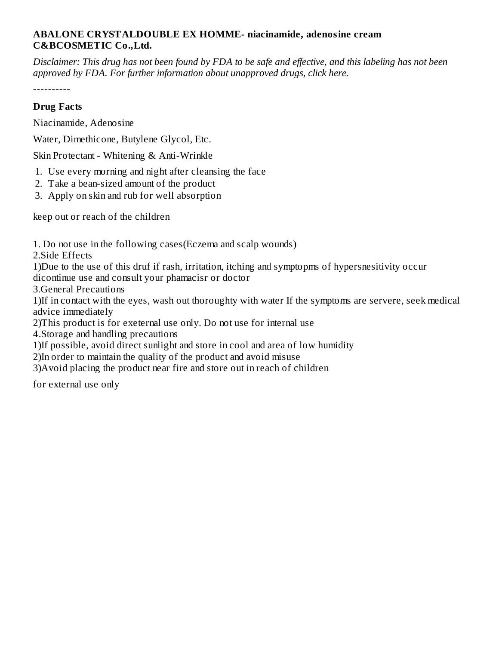## **ABALONE CRYSTALDOUBLE EX HOMME- niacinamide, adenosine cream C&BCOSMETIC Co.,Ltd.**

Disclaimer: This drug has not been found by FDA to be safe and effective, and this labeling has not been *approved by FDA. For further information about unapproved drugs, click here.*

----------

## **Drug Facts**

Niacinamide, Adenosine

Water, Dimethicone, Butylene Glycol, Etc.

Skin Protectant - Whitening & Anti-Wrinkle

- 1. Use every morning and night after cleansing the face
- 2. Take a bean-sized amount of the product
- 3. Apply on skin and rub for well absorption

keep out or reach of the children

1. Do not use in the following cases(Eczema and scalp wounds)

2.Side Effects

1)Due to the use of this druf if rash, irritation, itching and symptopms of hypersnesitivity occur dicontinue use and consult your phamacisr or doctor

3.General Precautions

1)If in contact with the eyes, wash out thoroughty with water If the symptoms are servere, seek medical advice immediately

2)This product is for exeternal use only. Do not use for internal use

4.Storage and handling precautions

1)If possible, avoid direct sunlight and store in cool and area of low humidity

2)In order to maintain the quality of the product and avoid misuse

3)Avoid placing the product near fire and store out in reach of children

for external use only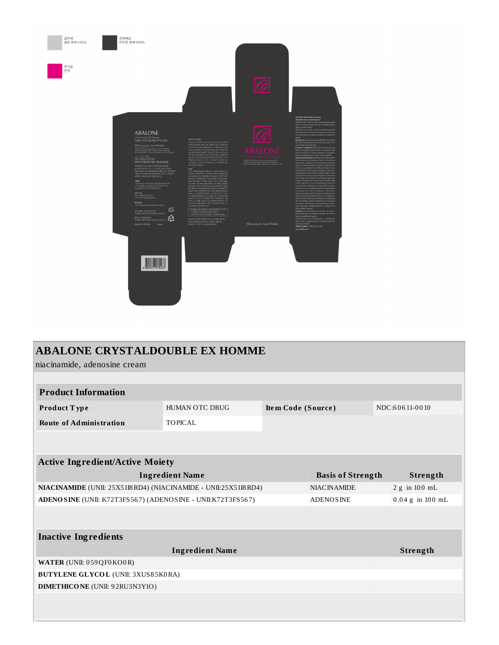

| <b>ABALONE CRYSTALDOUBLE EX HOMME</b>                                                  |                                      |  |          |                    |               |  |  |
|----------------------------------------------------------------------------------------|--------------------------------------|--|----------|--------------------|---------------|--|--|
| niacinamide, adenosine cream                                                           |                                      |  |          |                    |               |  |  |
|                                                                                        |                                      |  |          |                    |               |  |  |
| <b>Product Information</b>                                                             |                                      |  |          |                    |               |  |  |
| Product Type                                                                           | HUMAN OTC DRUG<br>Item Code (Source) |  |          | NDC:60611-0010     |               |  |  |
| <b>Route of Administration</b>                                                         | <b>TOPICAL</b>                       |  |          |                    |               |  |  |
|                                                                                        |                                      |  |          |                    |               |  |  |
|                                                                                        |                                      |  |          |                    |               |  |  |
| <b>Active Ingredient/Active Moiety</b>                                                 |                                      |  |          |                    |               |  |  |
| <b>Ingredient Name</b><br><b>Basis of Strength</b>                                     |                                      |  |          | Strength           |               |  |  |
| NIACINAMIDE (UNII: 25X51I8 RD4) (NIACINAMIDE - UNII:25X51I8 RD4)<br><b>NIACINAMIDE</b> |                                      |  |          |                    | 2 g in 100 mL |  |  |
| ADENOSINE (UNII: K72T3FS567) (ADENOSINE - UNII:K72T3FS567)<br><b>ADENOSINE</b>         |                                      |  |          | $0.04 g$ in 100 mL |               |  |  |
|                                                                                        |                                      |  |          |                    |               |  |  |
|                                                                                        |                                      |  |          |                    |               |  |  |
| <b>Inactive Ingredients</b>                                                            |                                      |  |          |                    |               |  |  |
| <b>Ingredient Name</b>                                                                 |                                      |  | Strength |                    |               |  |  |
| WATER (UNII: 059QF0KO0R)                                                               |                                      |  |          |                    |               |  |  |
| <b>BUTYLENE GLYCOL (UNII: 3XUS85K0RA)</b>                                              |                                      |  |          |                    |               |  |  |
| <b>DIMETHICO NE</b> (UNII: 92RU3N3Y1O)                                                 |                                      |  |          |                    |               |  |  |
|                                                                                        |                                      |  |          |                    |               |  |  |
|                                                                                        |                                      |  |          |                    |               |  |  |